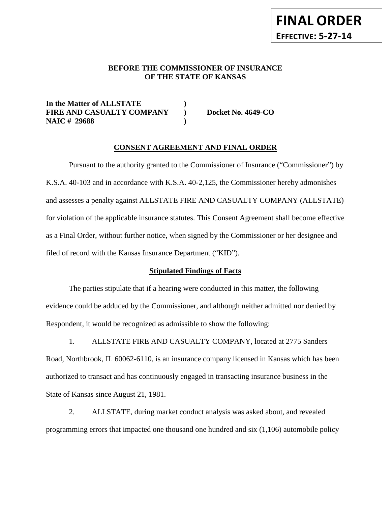#### **BEFORE THE COMMISSIONER OF INSURANCE OF THE STATE OF KANSAS**

**In the Matter of ALLSTATE ) FIRE AND CASUALTY COMPANY ) Docket No. 4649-CO NAIC # 29688 )** 

**FINAL ORDER**

**EFFECTIVE: 5-27-14**

#### **CONSENT AGREEMENT AND FINAL ORDER**

Pursuant to the authority granted to the Commissioner of Insurance ("Commissioner") by K.S.A. 40-103 and in accordance with K.S.A. 40-2,125, the Commissioner hereby admonishes and assesses a penalty against ALLSTATE FIRE AND CASUALTY COMPANY (ALLSTATE) for violation of the applicable insurance statutes. This Consent Agreement shall become effective as a Final Order, without further notice, when signed by the Commissioner or her designee and filed of record with the Kansas Insurance Department ("KID").

#### **Stipulated Findings of Facts**

The parties stipulate that if a hearing were conducted in this matter, the following evidence could be adduced by the Commissioner, and although neither admitted nor denied by Respondent, it would be recognized as admissible to show the following:

1. ALLSTATE FIRE AND CASUALTY COMPANY, located at 2775 Sanders Road, Northbrook, IL 60062-6110, is an insurance company licensed in Kansas which has been authorized to transact and has continuously engaged in transacting insurance business in the State of Kansas since August 21, 1981.

2. ALLSTATE, during market conduct analysis was asked about, and revealed programming errors that impacted one thousand one hundred and six (1,106) automobile policy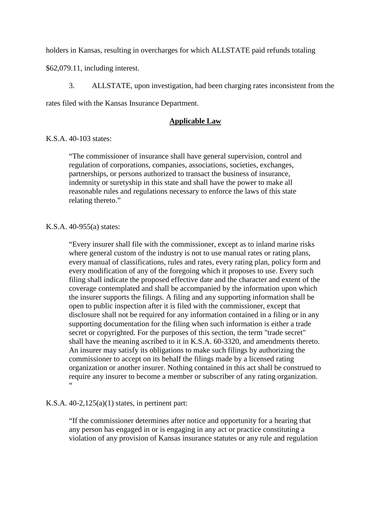holders in Kansas, resulting in overcharges for which ALLSTATE paid refunds totaling

\$62,079.11, including interest.

3. ALLSTATE, upon investigation, had been charging rates inconsistent from the

rates filed with the Kansas Insurance Department.

#### **Applicable Law**

#### K.S.A. 40-103 states:

"The commissioner of insurance shall have general supervision, control and regulation of corporations, companies, associations, societies, exchanges, partnerships, or persons authorized to transact the business of insurance, indemnity or suretyship in this state and shall have the power to make all reasonable rules and regulations necessary to enforce the laws of this state relating thereto."

#### K.S.A. 40-955(a) states:

"Every insurer shall file with the commissioner, except as to inland marine risks where general custom of the industry is not to use manual rates or rating plans, every manual of classifications, rules and rates, every rating plan, policy form and every modification of any of the foregoing which it proposes to use. Every such filing shall indicate the proposed effective date and the character and extent of the coverage contemplated and shall be accompanied by the information upon which the insurer supports the filings. A filing and any supporting information shall be open to public inspection after it is filed with the commissioner, except that disclosure shall not be required for any information contained in a filing or in any supporting documentation for the filing when such information is either a trade secret or copyrighted. For the purposes of this section, the term "trade secret" shall have the meaning ascribed to it in K.S.A. 60-3320, and amendments thereto. An insurer may satisfy its obligations to make such filings by authorizing the commissioner to accept on its behalf the filings made by a licensed rating organization or another insurer. Nothing contained in this act shall be construed to require any insurer to become a member or subscriber of any rating organization. "

#### K.S.A.  $40-2,125(a)(1)$  states, in pertinent part:

"If the commissioner determines after notice and opportunity for a hearing that any person has engaged in or is engaging in any act or practice constituting a violation of any provision of Kansas insurance statutes or any rule and regulation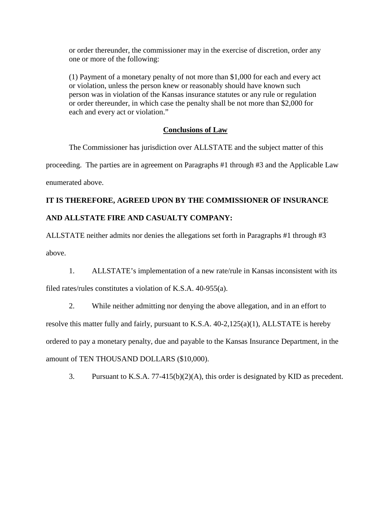or order thereunder, the commissioner may in the exercise of discretion, order any one or more of the following:

(1) Payment of a monetary penalty of not more than \$1,000 for each and every act or violation, unless the person knew or reasonably should have known such person was in violation of the Kansas insurance statutes or any rule or regulation or order thereunder, in which case the penalty shall be not more than \$2,000 for each and every act or violation."

#### **Conclusions of Law**

The Commissioner has jurisdiction over ALLSTATE and the subject matter of this proceeding. The parties are in agreement on Paragraphs #1 through #3 and the Applicable Law enumerated above.

## **IT IS THEREFORE, AGREED UPON BY THE COMMISSIONER OF INSURANCE AND ALLSTATE FIRE AND CASUALTY COMPANY:**

ALLSTATE neither admits nor denies the allegations set forth in Paragraphs #1 through #3 above.

1. ALLSTATE's implementation of a new rate/rule in Kansas inconsistent with its

filed rates/rules constitutes a violation of K.S.A. 40-955(a).

2. While neither admitting nor denying the above allegation, and in an effort to resolve this matter fully and fairly, pursuant to K.S.A. 40-2,125(a)(1), ALLSTATE is hereby ordered to pay a monetary penalty, due and payable to the Kansas Insurance Department, in the amount of TEN THOUSAND DOLLARS (\$10,000).

3. Pursuant to K.S.A. 77-415(b)(2)(A), this order is designated by KID as precedent.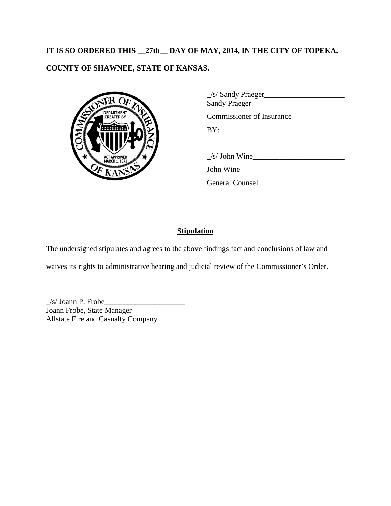# **IT IS SO ORDERED THIS \_\_27th\_\_ DAY OF MAY, 2014, IN THE CITY OF TOPEKA, COUNTY OF SHAWNEE, STATE OF KANSAS.**



| $\angle$ s/ Sandy Praeger<br><b>Sandy Praeger</b> |
|---------------------------------------------------|
| Commissioner of Insurance                         |
| BY:                                               |
|                                                   |

 $\angle$ s/ John Wine

John Wine

General Counsel

### **Stipulation**

The undersigned stipulates and agrees to the above findings fact and conclusions of law and

waives its rights to administrative hearing and judicial review of the Commissioner's Order.

\_/s/ Joann P. Frobe\_\_\_\_\_\_\_\_\_\_\_\_\_\_\_\_\_\_\_\_\_ Joann Frobe, State Manager Allstate Fire and Casualty Company